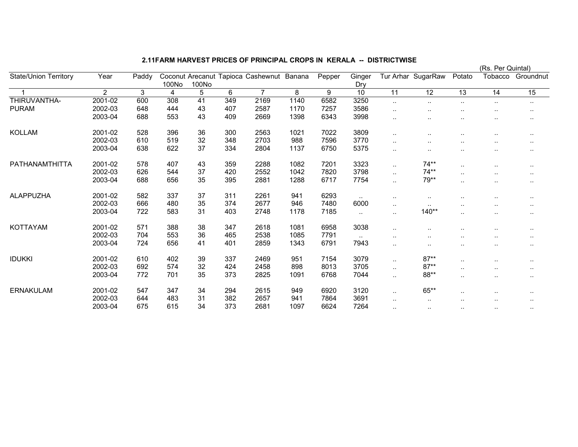## 2.11FARM HARVEST PRICES OF PRINCIPAL CROPS IN KERALA -- DISTRICTWISE

|                              |                |       |                |       |     |                                           |      |        |                 |           |                    |                        | (RS. Per Quintal)    |               |
|------------------------------|----------------|-------|----------------|-------|-----|-------------------------------------------|------|--------|-----------------|-----------|--------------------|------------------------|----------------------|---------------|
| <b>State/Union Territory</b> | Year           | Paddy |                |       |     | Coconut Arecanut Tapioca Cashewnut Banana |      | Pepper | Ginger          |           | Tur Arhar SugarRaw | Potato                 | Tobacco              | Groundnut     |
|                              |                |       | 100No          | 100No |     |                                           |      |        | Dry             |           |                    |                        |                      |               |
|                              | $\overline{2}$ | 3     | $\overline{4}$ | 5     | 6   | $\overline{7}$                            | 8    | 9      | $\overline{10}$ | 11        | $\overline{12}$    | $\overline{13}$        | 14                   | 15            |
| THIRUVANTHA-                 | 2001-02        | 600   | 308            | 41    | 349 | 2169                                      | 1140 | 6582   | 3250            | $\ldots$  | $\sim$             | $\ddot{\phantom{a}}$ . | $\sim$               | $\sim$        |
| <b>PURAM</b>                 | 2002-03        | 648   | 444            | 43    | 407 | 2587                                      | 1170 | 7257   | 3586            | $\ddotsc$ |                    |                        |                      |               |
|                              | 2003-04        | 688   | 553            | 43    | 409 | 2669                                      | 1398 | 6343   | 3998            | $\ddotsc$ |                    | $\ddot{\phantom{a}}$   |                      | $\sim$        |
| <b>KOLLAM</b>                | 2001-02        | 528   | 396            | 36    | 300 | 2563                                      | 1021 | 7022   | 3809            | $\ddotsc$ |                    | $\sim$                 |                      | $\sim$        |
|                              | 2002-03        | 610   | 519            | 32    | 348 | 2703                                      | 988  | 7596   | 3770            | $\ddotsc$ |                    |                        | $\sim$               | $\cdots$      |
|                              | 2003-04        | 638   | 622            | 37    | 334 | 2804                                      | 1137 | 6750   | 5375            | $\ddotsc$ | $\sim$             | $\ddotsc$              | $\cdots$             | $\sim$ $\sim$ |
| PATHANAMTHITTA               | 2001-02        | 578   | 407            | 43    | 359 | 2288                                      | 1082 | 7201   | 3323            | $\ddotsc$ | $74**$             | $\ddotsc$              |                      | $\sim$        |
|                              | 2002-03        | 626   | 544            | 37    | 420 | 2552                                      | 1042 | 7820   | 3798            | $\ldots$  | $74**$             | $\sim$                 | $\sim$ $\sim$        | $\sim$        |
|                              | 2003-04        | 688   | 656            | 35    | 395 | 2881                                      | 1288 | 6717   | 7754            | $\ddotsc$ | 79**               | $\ddotsc$              | $\sim$ $\sim$        | $\sim$        |
| <b>ALAPPUZHA</b>             | 2001-02        | 582   | 337            | 37    | 311 | 2261                                      | 941  | 6293   |                 | $\sim$    |                    |                        |                      | $\sim$        |
|                              | 2002-03        | 666   | 480            | 35    | 374 | 2677                                      | 946  | 7480   | 6000            | $\cdot$ . | $\sim$             | $\sim$                 | $\sim$               | $\sim$        |
|                              | 2003-04        | 722   | 583            | 31    | 403 | 2748                                      | 1178 | 7185   | $\cdot$ .       | $\ddotsc$ | $140**$            | $\ddotsc$              | $\ddot{\phantom{a}}$ | $\sim$ $\sim$ |
| KOTTAYAM                     | 2001-02        | 571   | 388            | 38    | 347 | 2618                                      | 1081 | 6958   | 3038            |           | $\cdot$ .          |                        |                      | $\sim$        |
|                              | 2002-03        | 704   | 553            | 36    | 465 | 2538                                      | 1085 | 7791   | $\ddotsc$       |           | $\cdot$ .          |                        | $\cdot$ .            | $\cdots$      |
|                              | 2003-04        | 724   | 656            | 41    | 401 | 2859                                      | 1343 | 6791   | 7943            | $\cdot$ . | $\cdots$           |                        | $\sim$               | $\sim$ $\sim$ |
| <b>IDUKKI</b>                | 2001-02        | 610   | 402            | 39    | 337 | 2469                                      | 951  | 7154   | 3079            | $\cdot$ . | $87**$             | $\sim$                 | $\sim$ $\sim$        | $\sim$        |
|                              | 2002-03        | 692   | 574            | 32    | 424 | 2458                                      | 898  | 8013   | 3705            | $\ddotsc$ | $87**$             | $\ddot{\phantom{a}}$   | $\cdot$ .            | $\ddotsc$     |
|                              | 2003-04        | 772   | 701            | 35    | 373 | 2825                                      | 1091 | 6768   | 7044            | $\ddotsc$ | 88**               | $\ddotsc$              | $\cdot$ .            | $\sim$        |
| <b>ERNAKULAM</b>             | 2001-02        | 547   | 347            | 34    | 294 | 2615                                      | 949  | 6920   | 3120            | $\ddotsc$ | 65**               | $\ddot{\phantom{a}}$   |                      | $\sim$        |
|                              | 2002-03        | 644   | 483            | 31    | 382 | 2657                                      | 941  | 7864   | 3691            | $\sim$    | $\cdot$ .          |                        | $\sim$ $\sim$        | $\sim$        |
|                              | 2003-04        | 675   | 615            | 34    | 373 | 2681                                      | 1097 | 6624   | 7264            | $\sim$    | $\cdot$ .          | $\sim$                 | $\sim$               | $\sim$        |

(Rs. Per Quintal)